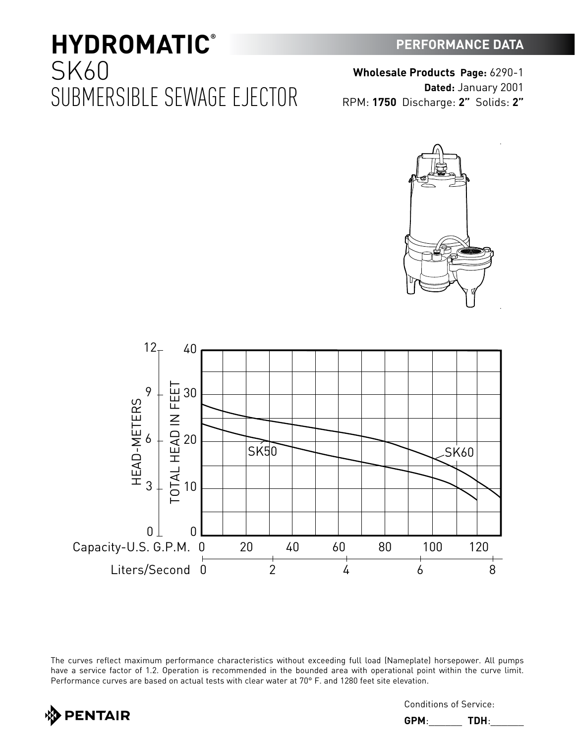**PERFORMANCE DATA**

RPM: **1750** Discharge: **2"** Solids: **2"**

**Wholesale Products Page:** 6290-1





The curves reflect maximum performance characteristics without exceeding full load (Nameplate) horsepower. All pumps have a service factor of 1.2. Operation is recommended in the bounded area with operational point within the curve limit. Performance curves are based on actual tests with clear water at 70° F. and 1280 feet site elevation.



Conditions of Service:

**GPM**:\_\_\_\_\_\_ **TDH**:\_\_\_\_\_\_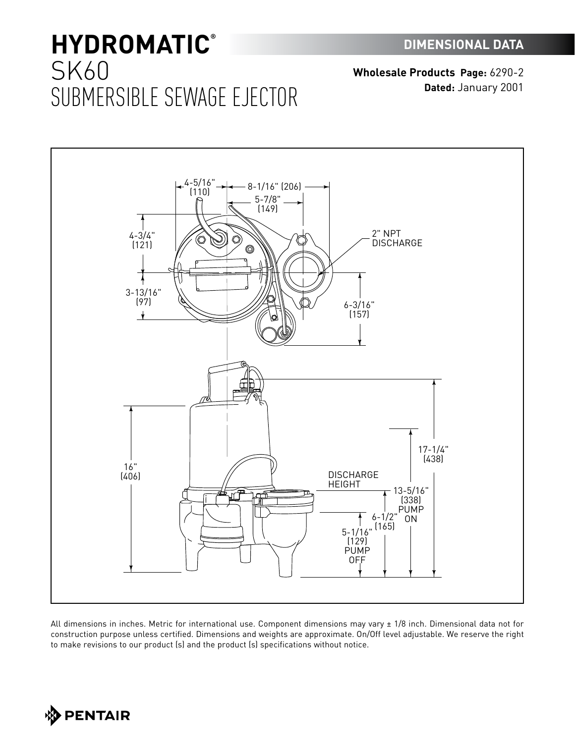**Wholesale Products Page:** 6290-2 **Dated:** January 2001



All dimensions in inches. Metric for international use. Component dimensions may vary ± 1/8 inch. Dimensional data not for construction purpose unless certified. Dimensions and weights are approximate. On/Off level adjustable. We reserve the right to make revisions to our product (s) and the product (s) specifications without notice.

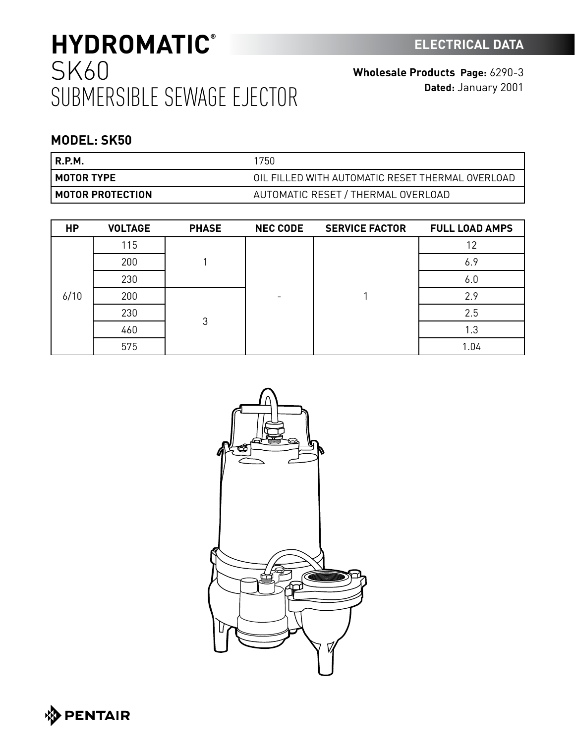**Wholesale Products Page:** 6290-3 **Dated:** January 2001

### **MODEL: SK50**

| R.P.M.                    | 1750                                             |
|---------------------------|--------------------------------------------------|
| I MOTOR TYPE              | OIL FILLED WITH AUTOMATIC RESET THERMAL OVERLOAD |
| <b>I MOTOR PROTECTION</b> | AUTOMATIC RESET / THERMAL OVERLOAD               |

| <b>HP</b> | <b>VOLTAGE</b> | <b>PHASE</b> | <b>NEC CODE</b> | <b>SERVICE FACTOR</b> | <b>FULL LOAD AMPS</b> |
|-----------|----------------|--------------|-----------------|-----------------------|-----------------------|
| 6/10      | 115            |              |                 |                       | 12                    |
|           | 200            |              |                 |                       | 6.9                   |
|           | 230            |              |                 |                       | 6.0                   |
|           | 200            | 3            |                 |                       | 2.9                   |
|           | 230            |              |                 |                       | 2.5                   |
|           | 460            |              |                 |                       | 1.3                   |
|           | 575            |              |                 |                       | 1.04                  |



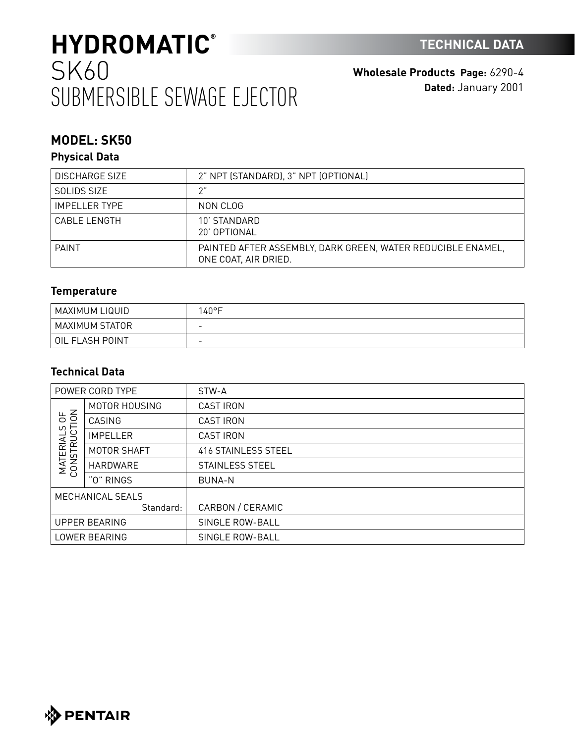**Wholesale Products Page:** 6290-4 **Dated:** January 2001

### **MODEL: SK50**

### **Physical Data**

| <b>DISCHARGE SIZE</b> | 2" NPT (STANDARD), 3" NPT (OPTIONAL)                                                |
|-----------------------|-------------------------------------------------------------------------------------|
| SOLIDS SIZE           | ን"                                                                                  |
| <b>IMPELLER TYPE</b>  | NON CLOG                                                                            |
| CABLE LENGTH          | 10' STANDARD<br>20' OPTIONAL                                                        |
| <b>PAINT</b>          | PAINTED AFTER ASSEMBLY. DARK GREEN. WATER REDUCIBLE ENAMEL.<br>ONE COAT, AIR DRIED. |

### **Temperature**

| MAXIMUM LIQUID  | $140^{\circ}$ F          |
|-----------------|--------------------------|
| MAXIMUM STATOR  | $\overline{\phantom{0}}$ |
| OIL FLASH POINT | $\overline{\phantom{0}}$ |

### **Technical Data**

| POWER CORD TYPE                                        |                 | STW-A               |
|--------------------------------------------------------|-----------------|---------------------|
| 50 <sup>2</sup><br>C)<br><b>MATERIALS</b><br>CONSTRUCT | MOTOR HOUSING   | <b>CAST IRON</b>    |
|                                                        | CASING          | <b>CAST IRON</b>    |
|                                                        | <b>IMPELLER</b> | <b>CAST IRON</b>    |
|                                                        | MOTOR SHAFT     | 416 STAINLESS STEEL |
|                                                        | HARDWARE        | STAINLESS STEEL     |
|                                                        | "O" RINGS       | <b>BUNA-N</b>       |
| MECHANICAL SEALS                                       |                 |                     |
|                                                        | Standard:       | CARBON / CERAMIC    |
| <b>UPPER BEARING</b>                                   |                 | SINGLE ROW-BALL     |
| LOWER BEARING                                          |                 | SINGLE ROW-BALL     |

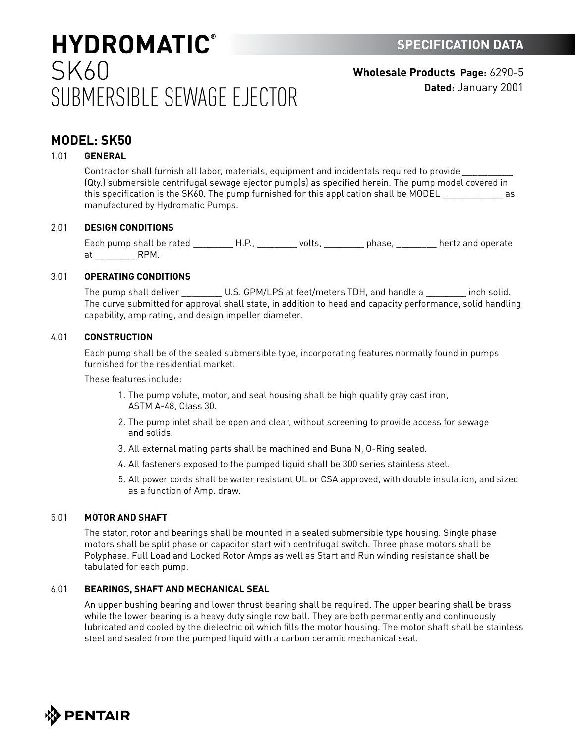**Wholesale Products Page:** 6290-5 **Dated:** January 2001

### **MODEL: SK50**

#### 1.01 **GENERAL**

Contractor shall furnish all labor, materials, equipment and incidentals required to provide \_\_\_\_\_\_\_\_\_\_ (Qty.) submersible centrifugal sewage ejector pump(s) as specified herein. The pump model covered in this specification is the SK60. The pump furnished for this application shall be MODEL and the MODEL manufactured by Hydromatic Pumps.

#### 2.01 **DESIGN CONDITIONS**

Each pump shall be rated \_\_\_\_\_\_\_\_\_\_H.P., \_\_\_\_\_\_\_\_\_ volts, \_\_\_\_\_\_\_\_\_\_ phase, \_\_\_\_\_\_\_\_\_ hertz and operate at RPM.

#### 3.01 **OPERATING CONDITIONS**

The pump shall deliver \_\_\_\_\_\_\_\_\_\_ U.S. GPM/LPS at feet/meters TDH, and handle a \_\_\_\_\_\_\_\_\_ inch solid. The curve submitted for approval shall state, in addition to head and capacity performance, solid handling capability, amp rating, and design impeller diameter.

#### 4.01 **CONSTRUCTION**

Each pump shall be of the sealed submersible type, incorporating features normally found in pumps furnished for the residential market.

These features include:

- 1. The pump volute, motor, and seal housing shall be high quality gray cast iron, ASTM A-48, Class 30.
- 2. The pump inlet shall be open and clear, without screening to provide access for sewage and solids.
- 3. All external mating parts shall be machined and Buna N, O-Ring sealed.
- 4. All fasteners exposed to the pumped liquid shall be 300 series stainless steel.
- 5. All power cords shall be water resistant UL or CSA approved, with double insulation, and sized as a function of Amp. draw.

#### 5.01 **MOTOR AND SHAFT**

The stator, rotor and bearings shall be mounted in a sealed submersible type housing. Single phase motors shall be split phase or capacitor start with centrifugal switch. Three phase motors shall be Polyphase. Full Load and Locked Rotor Amps as well as Start and Run winding resistance shall be tabulated for each pump.

#### 6.01 **BEARINGS, SHAFT AND MECHANICAL SEAL**

An upper bushing bearing and lower thrust bearing shall be required. The upper bearing shall be brass while the lower bearing is a heavy duty single row ball. They are both permanently and continuously lubricated and cooled by the dielectric oil which fills the motor housing. The motor shaft shall be stainless steel and sealed from the pumped liquid with a carbon ceramic mechanical seal.